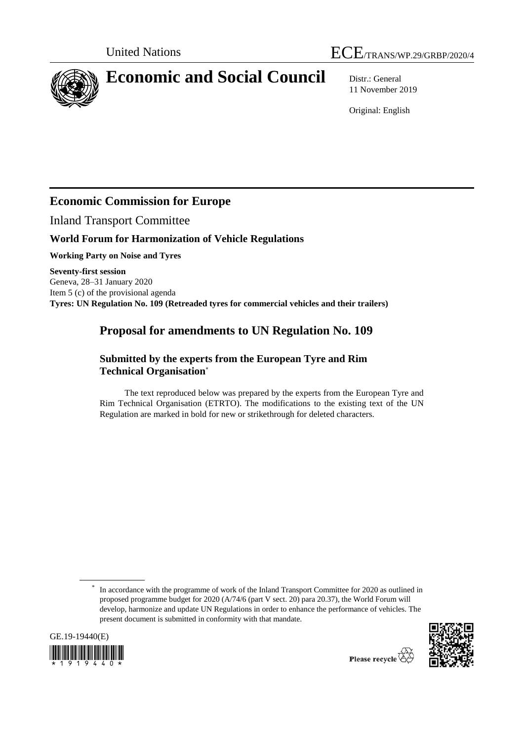



# **Economic and Social Council** Distr.: General

11 November 2019

Original: English

## **Economic Commission for Europe**

Inland Transport Committee

#### **World Forum for Harmonization of Vehicle Regulations**

**Working Party on Noise and Tyres**

**Seventy-first session** Geneva, 28–31 January 2020 Item 5 (c) of the provisional agenda **Tyres: UN Regulation No. 109 (Retreaded tyres for commercial vehicles and their trailers)**

## **Proposal for amendments to UN Regulation No. 109**

#### **Submitted by the experts from the European Tyre and Rim Technical Organisation\***

The text reproduced below was prepared by the experts from the European Tyre and Rim Technical Organisation (ETRTO). The modifications to the existing text of the UN Regulation are marked in bold for new or strikethrough for deleted characters.

<sup>\*</sup> In accordance with the programme of work of the Inland Transport Committee for 2020 as outlined in proposed programme budget for 2020 (A/74/6 (part V sect. 20) para 20.37), the World Forum will develop, harmonize and update UN Regulations in order to enhance the performance of vehicles. The present document is submitted in conformity with that mandate.



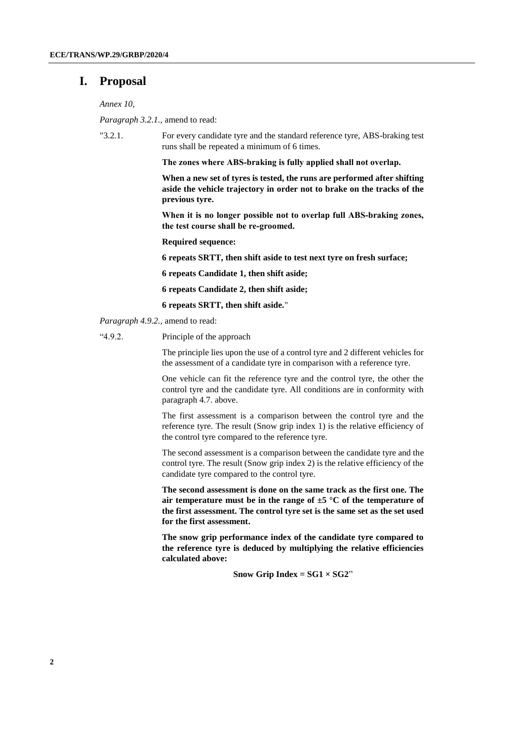#### **I. Proposal**

*Annex 10,* 

*Paragraph 3.2.1.,* amend to read:

"3.2.1. For every candidate tyre and the standard reference tyre, ABS-braking test runs shall be repeated a minimum of 6 times.

**The zones where ABS‐braking is fully applied shall not overlap.**

**When a new set of tyres is tested, the runs are performed after shifting aside the vehicle trajectory in order not to brake on the tracks of the previous tyre.**

**When it is no longer possible not to overlap full ABS‐braking zones, the test course shall be re‐groomed.**

**Required sequence:**

**6 repeats SRTT, then shift aside to test next tyre on fresh surface;**

**6 repeats Candidate 1, then shift aside;**

**6 repeats Candidate 2, then shift aside;**

**6 repeats SRTT, then shift aside.**"

*Paragraph 4.9.2.,* amend to read:

"4.9.2. Principle of the approach

The principle lies upon the use of a control tyre and 2 different vehicles for the assessment of a candidate tyre in comparison with a reference tyre.

One vehicle can fit the reference tyre and the control tyre, the other the control tyre and the candidate tyre. All conditions are in conformity with paragraph 4.7. above.

The first assessment is a comparison between the control tyre and the reference tyre. The result (Snow grip index 1) is the relative efficiency of the control tyre compared to the reference tyre.

The second assessment is a comparison between the candidate tyre and the control tyre. The result (Snow grip index 2) is the relative efficiency of the candidate tyre compared to the control tyre.

**The second assessment is done on the same track as the first one. The**  air temperature must be in the range of  $\pm 5$  °C of the temperature of **the first assessment. The control tyre set is the same set as the set used for the first assessment.** 

**The snow grip performance index of the candidate tyre compared to the reference tyre is deduced by multiplying the relative efficiencies calculated above:**

**Snow Grip Index =**  $SG1 \times SG2$ **"**